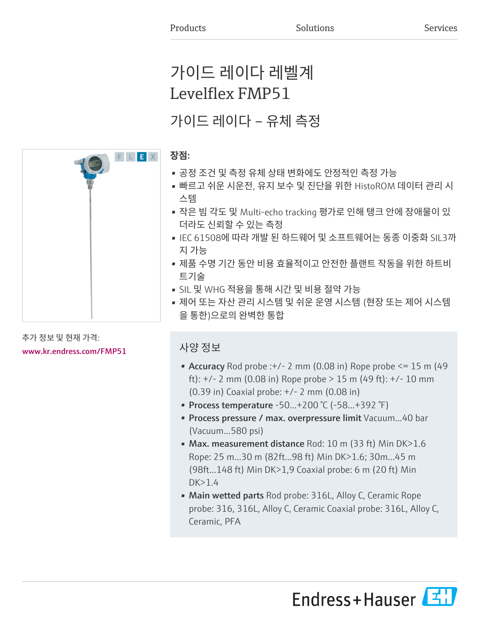# 가이드 레이다 레벨계 Levelflex FMP51

# 가이드 레이다 – 유체 측정

# 장점:

- 공정 조건 및 측정 유체 상태 변화에도 안정적인 측정 가능
- 빠르고 쉬운 시운전, 유지 보수 및 진단을 위한 HistoROM 데이터 관리 시 스템
- 작은 빔 각도 및 Multi-echo tracking 평가로 인해 탱크 안에 장애물이 있 더라도 신뢰할 수 있는 측정
- IEC 61508에 따라 개발 된 하드웨어 및 소프트웨어는 동종 이중화 SIL3까 지 가능
- 제품 수명 기간 동안 비용 효율적이고 안전한 플랜트 작동을 위한 하트비 트기술
- SIL 및 WHG 적용을 통해 시간 및 비용 절약 가능
- 제어 또는 자산 관리 시스템 및 쉬운 운영 시스템 (현장 또는 제어 시스템 을 통한)으로의 완벽한 통합

# 사양 정보

- Accuracy Rod probe : $+/- 2$  mm (0.08 in) Rope probe  $\leq 15$  m (49 ft):  $+/- 2$  mm (0.08 in) Rope probe  $> 15$  m (49 ft):  $+/- 10$  mm (0.39 in) Coaxial probe: +/- 2 mm (0.08 in)
- Process temperature  $-50...+200$  °C ( $-58...+392$  °F)
- Process pressure / max. overpressure limit Vacuum...40 bar (Vacuum...580 psi)
- Max. measurement distance Rod: 10 m (33 ft) Min DK>1.6 Rope: 25 m...30 m (82ft...98 ft) Min DK>1.6; 30m...45 m (98ft...148 ft) Min DK>1,9 Coaxial probe: 6 m (20 ft) Min  $DK>1.4$
- Main wetted parts Rod probe: 316L, Alloy C, Ceramic Rope probe: 316, 316L, Alloy C, Ceramic Coaxial probe: 316L, Alloy C, Ceramic, PFA





## 추가 정보 및 현재 가격: [www.kr.endress.com/FMP51](https://www.kr.endress.com/FMP51)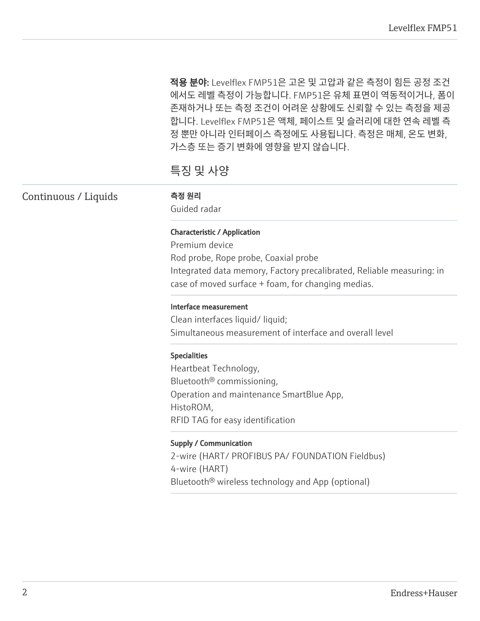적용 분야: Levelflex FMP51은 고온 및 고압과 같은 측정이 힘든 공정 조건 에서도 레벨 측정이 가능합니다. FMP51은 유체 표면이 역동적이거나, 폼이 존재하거나 또는 측정 조건이 어려운 상황에도 신뢰할 수 있는 측정을 제공 합니다. Levelflex FMP51은 액체, 페이스트 및 슬러리에 대한 연속 레벨 측 정 뿐만 아니라 인터페이스 측정에도 사용됩니다. 측정은 매체, 온도 변화, 가스층 또는 증기 변화에 영향을 받지 않습니다.

# 특징 및 사양

| Continuous / Liquids | 측정 원리<br>Guided radar                                                 |
|----------------------|-----------------------------------------------------------------------|
|                      | <b>Characteristic / Application</b>                                   |
|                      | Premium device                                                        |
|                      | Rod probe, Rope probe, Coaxial probe                                  |
|                      | Integrated data memory, Factory precalibrated, Reliable measuring: in |
|                      | case of moved surface + foam, for changing medias.                    |
|                      | Interface measurement                                                 |
|                      | Clean interfaces liquid/liquid;                                       |
|                      | Simultaneous measurement of interface and overall level               |
|                      | <b>Specialities</b>                                                   |
|                      | Heartbeat Technology,                                                 |
|                      | Bluetooth <sup>®</sup> commissioning,                                 |
|                      | Operation and maintenance SmartBlue App,                              |
|                      | HistoROM,                                                             |
|                      | RFID TAG for easy identification                                      |
|                      | <b>Supply / Communication</b>                                         |
|                      | 2-wire (HART/ PROFIBUS PA/ FOUNDATION Fieldbus)                       |
|                      | 4-wire (HART)                                                         |
|                      | Bluetooth <sup>®</sup> wireless technology and App (optional)         |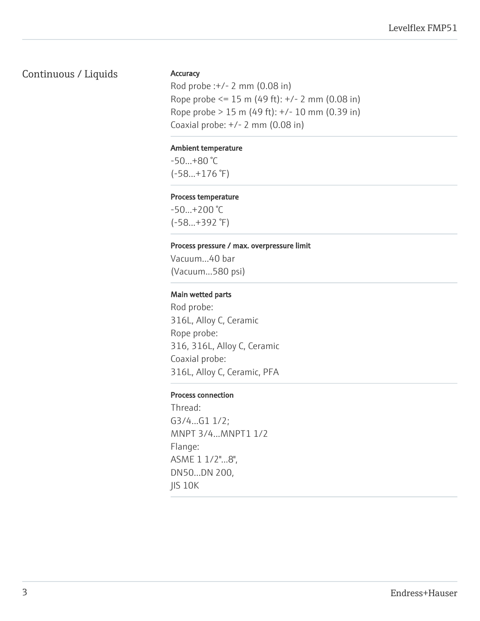# Continuous / Liquids

#### **Accuracy**

Rod probe :+/- 2 mm (0.08 in) Rope probe <= 15 m (49 ft): +/- 2 mm (0.08 in) Rope probe > 15 m (49 ft): +/- 10 mm (0.39 in) Coaxial probe: +/- 2 mm (0.08 in)

#### Ambient temperature

-50...+80 °C (-58...+176 °F)

#### Process temperature

-50...+200 °C (-58...+392 °F)

#### Process pressure / max. overpressure limit

Vacuum...40 bar (Vacuum...580 psi)

#### Main wetted parts

Rod probe: 316L, Alloy C, Ceramic Rope probe: 316, 316L, Alloy C, Ceramic Coaxial probe: 316L, Alloy C, Ceramic, PFA

#### Process connection

Thread: G3/4...G1 1/2; MNPT 3/4...MNPT1 1/2 Flange: ASME 1 1/2"...8", DN50...DN 200, JIS 10K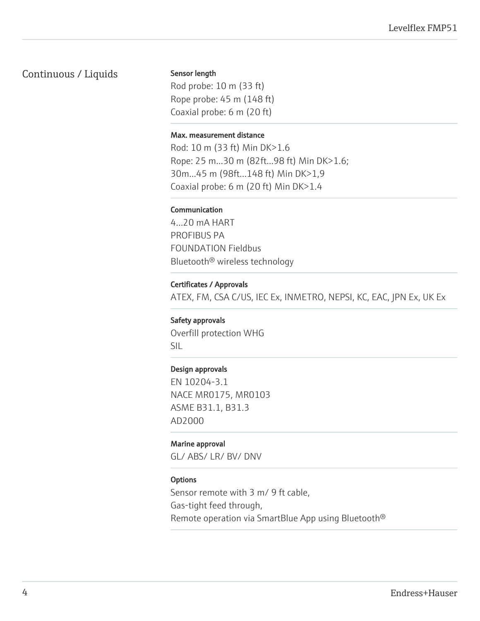## Continuous / Liquids

Sensor length

Rod probe: 10 m (33 ft) Rope probe: 45 m (148 ft) Coaxial probe: 6 m (20 ft)

#### Max. measurement distance

Rod: 10 m (33 ft) Min DK>1.6 Rope: 25 m...30 m (82ft...98 ft) Min DK>1.6; 30m...45 m (98ft...148 ft) Min DK>1,9 Coaxial probe: 6 m (20 ft) Min DK>1.4

### Communication

4...20 mA HART PROFIBUS PA FOUNDATION Fieldbus Bluetooth® wireless technology

#### Certificates / Approvals

ATEX, FM, CSA C/US, IEC Ex, INMETRO, NEPSI, KC, EAC, JPN Ex, UK Ex

Safety approvals Overfill protection WHG SIL

#### Design approvals

EN 10204-3.1 NACE MR0175, MR0103 ASME B31.1, B31.3 AD2000

#### Marine approval

GL/ ABS/ LR/ BV/ DNV

#### **Options**

Sensor remote with 3 m/ 9 ft cable, Gas-tight feed through, Remote operation via SmartBlue App using Bluetooth®